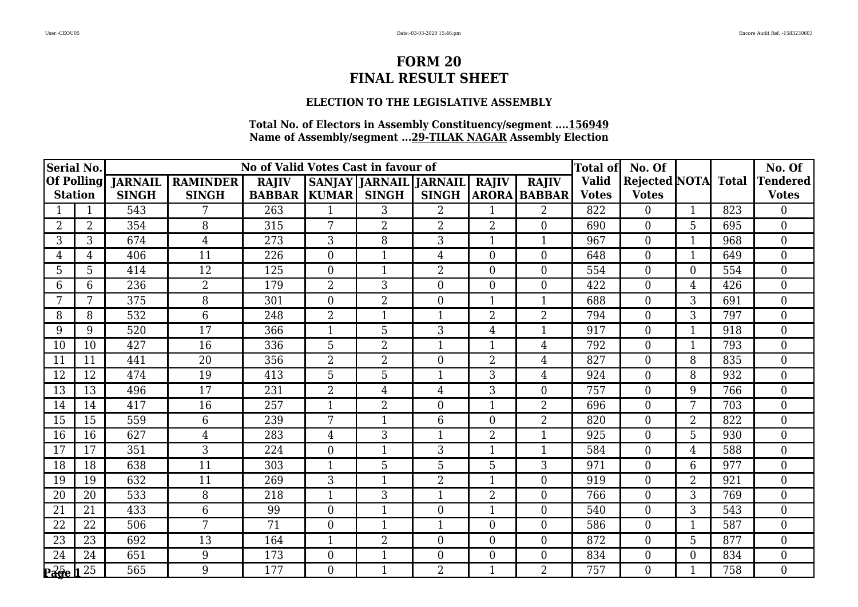## **ELECTION TO THE LEGISLATIVE ASSEMBLY**

| Serial No.               |                |                |                 | No of Valid Votes Cast in favour of |                |                               |                  |                |                     | <b>Total of</b> | No. Of               |                |              | No. Of           |
|--------------------------|----------------|----------------|-----------------|-------------------------------------|----------------|-------------------------------|------------------|----------------|---------------------|-----------------|----------------------|----------------|--------------|------------------|
| <b>Of Polling</b>        |                | <b>JARNAIL</b> | <b>RAMINDER</b> | <b>RAJIV</b>                        |                | <b>SANJAY JARNAIL JARNAIL</b> |                  | <b>RAJIV</b>   | <b>RAJIV</b>        | <b>Valid</b>    | <b>Rejected NOTA</b> |                | <b>Total</b> | <b>Tendered</b>  |
| <b>Station</b>           |                | <b>SINGH</b>   | <b>SINGH</b>    | <b>BABBAR</b>                       | <b>KUMAR</b>   | <b>SINGH</b>                  | <b>SINGH</b>     |                | <b>ARORA BABBAR</b> | <b>Votes</b>    | <b>Votes</b>         |                |              | <b>Votes</b>     |
|                          |                | 543            |                 | 263                                 |                | 3                             | $\overline{2}$   |                | $\overline{2}$      | 822             | $\overline{0}$       |                | 823          | 0                |
| $\overline{2}$           | $\overline{2}$ | 354            | 8               | 315                                 | 7              | $\overline{2}$                | $\overline{2}$   | $\overline{2}$ | $\overline{0}$      | 690             | $\boldsymbol{0}$     | 5              | 695          | $\overline{0}$   |
| 3                        | 3              | 674            | $\overline{4}$  | 273                                 | 3              | 8                             | 3                | $\mathbf{1}$   | $\mathbf{1}$        | 967             | $\boldsymbol{0}$     | 1              | 968          | $\theta$         |
| 4                        | 4              | 406            | 11              | 226                                 | $\theta$       |                               | 4                | $\overline{0}$ | $\boldsymbol{0}$    | 648             | $\boldsymbol{0}$     |                | 649          | $\mathbf{0}$     |
| 5                        | 5              | 414            | 12              | 125                                 | $\overline{0}$ | $\mathbf{1}$                  | $\overline{2}$   | $\overline{0}$ | $\boldsymbol{0}$    | 554             | $\boldsymbol{0}$     | 0              | 554          | $\overline{0}$   |
| 6                        | 6              | 236            | $\overline{2}$  | 179                                 | 2              | 3                             | $\overline{0}$   | $\Omega$       | $\overline{0}$      | 422             | $\overline{0}$       | 4              | 426          | $\Omega$         |
|                          |                | 375            | 8               | 301                                 | $\Omega$       | 2                             | $\overline{0}$   |                |                     | 688             | $\boldsymbol{0}$     | 3              | 691          | $\theta$         |
| 8                        | 8              | 532            | 6               | 248                                 | $\overline{2}$ |                               | $\mathbf{1}$     | $\overline{2}$ | $\overline{2}$      | 794             | $\boldsymbol{0}$     | 3              | 797          | $\mathbf{0}$     |
| 9                        | 9              | 520            | 17              | 366                                 | $\mathbf{1}$   | 5                             | 3                | $\overline{4}$ | $\mathbf{1}$        | 917             | $\overline{0}$       | $\mathbf{1}$   | 918          | $\overline{0}$   |
| 10                       | 10             | 427            | 16              | 336                                 | 5              | 2                             | 1                | $\mathbf{1}$   | $\overline{4}$      | 792             | $\overline{0}$       | 1              | 793          | $\theta$         |
| 11                       | 11             | 441            | $\overline{20}$ | 356                                 | $\overline{2}$ | $\overline{2}$                | $\boldsymbol{0}$ | $\overline{2}$ | $\overline{4}$      | 827             | $\boldsymbol{0}$     | 8              | 835          | $\overline{0}$   |
| 12                       | 12             | 474            | 19              | 413                                 | 5              | 5                             | $\mathbf{1}$     | 3              | $\overline{4}$      | 924             | $\boldsymbol{0}$     | 8              | 932          | $\theta$         |
| 13                       | 13             | 496            | 17              | 231                                 | $\overline{2}$ | $\overline{4}$                | $\overline{4}$   | 3              | $\boldsymbol{0}$    | 757             | $\boldsymbol{0}$     | 9              | 766          | $\overline{0}$   |
| 14                       | 14             | 417            | 16              | 257                                 | $\mathbf{1}$   | $\overline{2}$                | $\overline{0}$   | $\mathbf{1}$   | $\overline{2}$      | 696             | $\overline{0}$       | 7              | 703          | $\overline{0}$   |
| 15                       | 15             | 559            | 6               | 239                                 | 7              | $\mathbf 1$                   | 6                | $\overline{0}$ | $\overline{2}$      | 820             | $\boldsymbol{0}$     | $\overline{2}$ | 822          | $\theta$         |
| 16                       | 16             | 627            | 4               | 283                                 | 4              | 3                             | $\mathbf{1}$     | $\overline{2}$ | $\mathbf{1}$        | 925             | $\boldsymbol{0}$     | 5              | 930          | $\overline{0}$   |
| 17                       | 17             | 351            | 3               | 224                                 | $\theta$       | $\mathbf{1}$                  | 3                | $\mathbf{1}$   | $\mathbf{1}$        | 584             | $\boldsymbol{0}$     | 4              | 588          | $\overline{0}$   |
| 18                       | 18             | 638            | 11              | 303                                 | 1              | 5                             | 5                | 5              | 3                   | 971             | $\overline{0}$       | 6              | 977          | $\overline{0}$   |
| 19                       | 19             | 632            | 11              | 269                                 | 3              | $\mathbf{1}$                  | $\overline{2}$   | $\mathbf{1}$   | $\boldsymbol{0}$    | 919             | $\boldsymbol{0}$     | $\overline{2}$ | 921          | $\overline{0}$   |
| 20                       | 20             | 533            | 8               | 218                                 | $\mathbf{1}$   | 3                             | $\mathbf{1}$     | $\overline{2}$ | $\overline{0}$      | 766             | $\overline{0}$       | 3              | 769          | $\theta$         |
| 21                       | 21             | 433            | 6               | 99                                  | $\overline{0}$ |                               | $\boldsymbol{0}$ | 1              | $\boldsymbol{0}$    | 540             | $\boldsymbol{0}$     | 3              | 543          | $\overline{0}$   |
| 22                       | 22             | 506            | 7               | 71                                  | $\overline{0}$ | $\mathbf{1}$                  | $\mathbf{1}$     | $\overline{0}$ | $\boldsymbol{0}$    | 586             | $\boldsymbol{0}$     | 1              | 587          | $\boldsymbol{0}$ |
| 23                       | 23             | 692            | 13              | 164                                 | $\mathbf{1}$   | $\overline{2}$                | $\overline{0}$   | $\overline{0}$ | $\overline{0}$      | 872             | $\overline{0}$       | 5              | 877          | $\theta$         |
| 24                       | 24             | 651            | 9               | 173                                 | $\overline{0}$ | 1                             | $\overline{0}$   | $\overline{0}$ | $\boldsymbol{0}$    | 834             | $\boldsymbol{0}$     | 0              | 834          | $\theta$         |
| $\overline{\text{Page}}$ | 25             | 565            | 9               | 177                                 | $\theta$       |                               | 2                | $\mathbf{1}$   | $\overline{2}$      | 757             | $\overline{0}$       |                | 758          | $\overline{0}$   |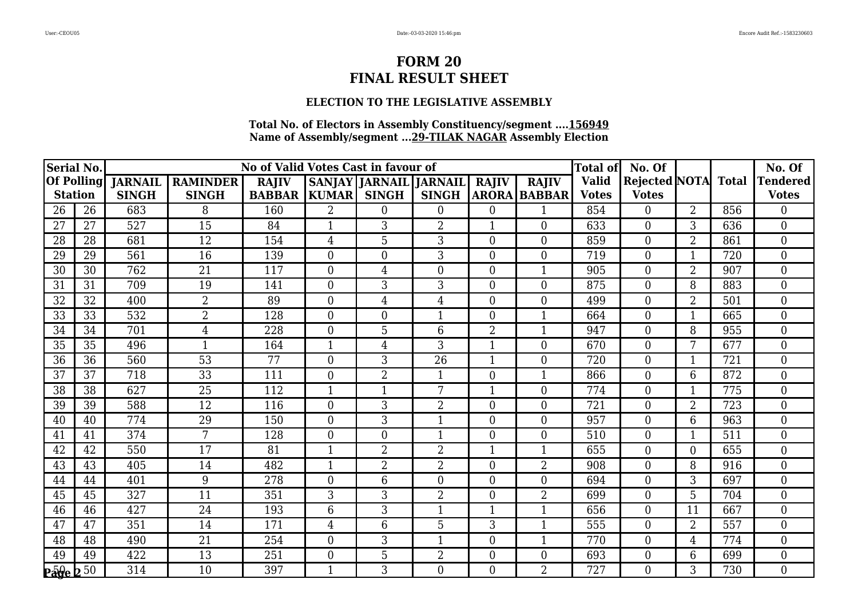## **ELECTION TO THE LEGISLATIVE ASSEMBLY**

| Serial No.             |    |                |                 | No of Valid Votes Cast in favour of |                |                               |                  |                  |                     | <b>Total of</b> | No. Of              |                |     | No. Of           |
|------------------------|----|----------------|-----------------|-------------------------------------|----------------|-------------------------------|------------------|------------------|---------------------|-----------------|---------------------|----------------|-----|------------------|
| <b>Of Polling</b>      |    | <b>JARNAIL</b> | <b>RAMINDER</b> | <b>RAJIV</b>                        |                | <b>SANJAY JARNAIL JARNAIL</b> |                  | <b>RAJIV</b>     | <b>RAJIV</b>        | <b>Valid</b>    | Rejected NOTA Total |                |     | <b>Tendered</b>  |
| <b>Station</b>         |    | <b>SINGH</b>   | <b>SINGH</b>    | <b>BABBAR</b>                       | <b>KUMAR</b>   | <b>SINGH</b>                  | <b>SINGH</b>     |                  | <b>ARORA BABBAR</b> | <b>Votes</b>    | <b>Votes</b>        |                |     | <b>Votes</b>     |
| 26                     | 26 | 683            | 8               | 160                                 | $\overline{2}$ | $\Omega$                      | $\overline{0}$   | $\Omega$         |                     | 854             | $\overline{0}$      | $\overline{2}$ | 856 | 0                |
| 27                     | 27 | 527            | 15              | 84                                  | $\mathbf{1}$   | 3                             | 2                | $\mathbf{1}$     | $\boldsymbol{0}$    | 633             | $\boldsymbol{0}$    | 3              | 636 | $\overline{0}$   |
| 28                     | 28 | 681            | 12              | 154                                 | 4              | 5                             | 3                | $\theta$         | $\overline{0}$      | 859             | $\overline{0}$      | $\overline{2}$ | 861 | $\theta$         |
| 29                     | 29 | 561            | 16              | 139                                 | $\Omega$       | $\overline{0}$                | 3                | $\theta$         | $\boldsymbol{0}$    | 719             | $\boldsymbol{0}$    |                | 720 | $\overline{0}$   |
| 30                     | 30 | 762            | 21              | 117                                 | $\overline{0}$ | $\overline{4}$                | $\boldsymbol{0}$ | $\overline{0}$   | $\mathbf{1}$        | 905             | $\boldsymbol{0}$    | $\overline{2}$ | 907 | $\overline{0}$   |
| 31                     | 31 | 709            | 19              | 141                                 | $\Omega$       | 3                             | 3                | $\overline{0}$   | $\overline{0}$      | 875             | $\Omega$            | 8              | 883 | $\Omega$         |
| 32                     | 32 | 400            | $\overline{2}$  | 89                                  | $\Omega$       | 4                             | 4                | $\theta$         | $\overline{0}$      | 499             | $\overline{0}$      | $\overline{2}$ | 501 | $\theta$         |
| 33                     | 33 | 532            | $\overline{2}$  | 128                                 | $\overline{0}$ | $\boldsymbol{0}$              | $\mathbf{1}$     | $\boldsymbol{0}$ | $\mathbf{1}$        | 664             | $\boldsymbol{0}$    | 1              | 665 | $\mathbf{0}$     |
| 34                     | 34 | 701            | $\overline{4}$  | 228                                 | $\overline{0}$ | 5                             | 6                | $\overline{2}$   | $\mathbf{1}$        | 947             | $\overline{0}$      | 8              | 955 | $\overline{0}$   |
| 35                     | 35 | 496            |                 | 164                                 | $\mathbf{1}$   | $\overline{4}$                | 3                |                  | $\overline{0}$      | 670             | $\overline{0}$      | 7              | 677 | $\theta$         |
| 36                     | 36 | 560            | $\overline{53}$ | 77                                  | $\overline{0}$ | 3                             | $\overline{26}$  | 1                | $\boldsymbol{0}$    | 720             | $\boldsymbol{0}$    |                | 721 | $\overline{0}$   |
| 37                     | 37 | 718            | 33              | 111                                 | $\overline{0}$ | $\overline{2}$                | $\mathbf{1}$     | $\overline{0}$   | $\mathbf{1}$        | 866             | $\boldsymbol{0}$    | 6              | 872 | $\theta$         |
| 38                     | 38 | 627            | 25              | 112                                 | $\mathbf{1}$   |                               | 7                |                  | $\boldsymbol{0}$    | 774             | $\boldsymbol{0}$    | $\mathbf{1}$   | 775 | $\overline{0}$   |
| 39                     | 39 | 588            | $\overline{12}$ | 116                                 | $\theta$       | $\overline{3}$                | $\overline{2}$   | $\theta$         | $\overline{0}$      | 721             | $\overline{0}$      | $\overline{2}$ | 723 | $\overline{0}$   |
| 40                     | 40 | 774            | 29              | 150                                 | $\overline{0}$ | 3                             | 1                | $\overline{0}$   | $\boldsymbol{0}$    | 957             | $\boldsymbol{0}$    | 6              | 963 | $\theta$         |
| 41                     | 41 | 374            | 7               | 128                                 | $\Omega$       | $\overline{0}$                | $\mathbf{1}$     | $\theta$         | $\overline{0}$      | 510             | $\boldsymbol{0}$    | 1              | 511 | $\overline{0}$   |
| 42                     | 42 | 550            | 17              | 81                                  | $\mathbf{1}$   | $\overline{2}$                | 2                | 1                | $\mathbf{1}$        | 655             | $\boldsymbol{0}$    | $\overline{0}$ | 655 | $\theta$         |
| 43                     | 43 | 405            | 14              | 482                                 | $\overline{1}$ | $\overline{2}$                | $\overline{2}$   | $\overline{0}$   | $\overline{2}$      | 908             | $\overline{0}$      | 8              | 916 | $\overline{0}$   |
| 44                     | 44 | 401            | 9               | 278                                 | $\Omega$       | 6                             | $\overline{0}$   | $\overline{0}$   | $\overline{0}$      | 694             | $\boldsymbol{0}$    | 3              | 697 | $\overline{0}$   |
| 45                     | 45 | 327            | 11              | 351                                 | 3              | 3                             | 2                | $\theta$         | $\overline{2}$      | 699             | $\overline{0}$      | 5              | 704 | $\theta$         |
| 46                     | 46 | 427            | 24              | 193                                 | 6              | 3                             | 1                |                  |                     | 656             | $\boldsymbol{0}$    | 11             | 667 | $\theta$         |
| 47                     | 47 | 351            | 14              | 171                                 | 4              | 6                             | 5                | 3                | $\mathbf{1}$        | 555             | $\boldsymbol{0}$    | $\overline{2}$ | 557 | $\boldsymbol{0}$ |
| 48                     | 48 | 490            | $\overline{21}$ | 254                                 | $\overline{0}$ | 3                             | $\mathbf{1}$     | $\theta$         | $\mathbf{1}$        | 770             | $\overline{0}$      | 4              | 774 | $\theta$         |
| 49                     | 49 | 422            | 13              | 251                                 | $\Omega$       | 5                             | 2                | $\overline{0}$   | $\overline{0}$      | 693             | $\boldsymbol{0}$    | 6              | 699 | $\theta$         |
| $P\bar{a}$ ge $2^{50}$ |    | 314            | 10              | 397                                 | -1             | 3                             | $\overline{0}$   | $\overline{0}$   | $\overline{2}$      | 727             | $\overline{0}$      | 3              | 730 | $\overline{0}$   |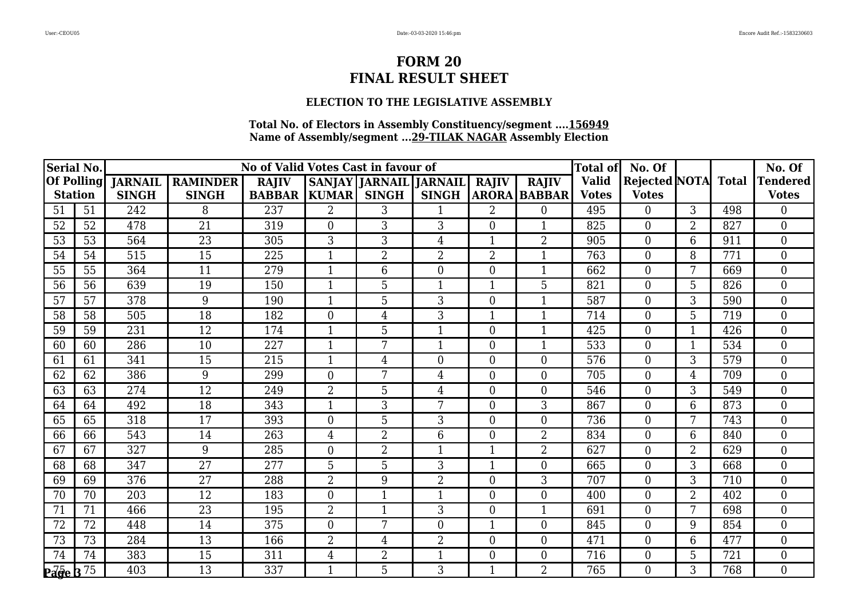## **ELECTION TO THE LEGISLATIVE ASSEMBLY**

| Serial No.                |    |                |                 | No of Valid Votes Cast in favour of |                |                               |                  |                |                     | <b>Total of</b> | No. Of               |                |              | No. Of                        |
|---------------------------|----|----------------|-----------------|-------------------------------------|----------------|-------------------------------|------------------|----------------|---------------------|-----------------|----------------------|----------------|--------------|-------------------------------|
| <b>Of Polling</b>         |    | <b>JARNAIL</b> | <b>RAMINDER</b> | <b>RAJIV</b>                        |                | <b>SANJAY JARNAIL JARNAIL</b> |                  | <b>RAJIV</b>   | <b>RAJIV</b>        | <b>Valid</b>    | <b>Rejected NOTA</b> |                | <b>Total</b> | <b><i><u>Fendered</u></i></b> |
| <b>Station</b>            |    | <b>SINGH</b>   | <b>SINGH</b>    | <b>BABBAR</b>                       | <b>KUMAR</b>   | <b>SINGH</b>                  | <b>SINGH</b>     |                | <b>ARORA BABBAR</b> | <b>Votes</b>    | <b>Votes</b>         |                |              | <b>Votes</b>                  |
| 51                        | 51 | 242            | 8               | 237                                 | $\overline{2}$ | 3                             |                  | $\overline{2}$ | $\Omega$            | 495             | $\overline{0}$       | 3              | 498          | 0                             |
| 52                        | 52 | 478            | 21              | 319                                 | $\overline{0}$ | 3                             | 3                | $\overline{0}$ | $\mathbf{1}$        | 825             | $\boldsymbol{0}$     | $\overline{2}$ | 827          | $\overline{0}$                |
| 53                        | 53 | 564            | 23              | 305                                 | 3              | 3                             | 4                | $\mathbf{1}$   | $\overline{2}$      | 905             | $\overline{0}$       | 6              | 911          | $\Omega$                      |
| 54                        | 54 | 515            | 15              | 225                                 |                | $\overline{2}$                | $\overline{2}$   | $\overline{2}$ |                     | 763             | $\boldsymbol{0}$     | 8              | 771          | $\overline{0}$                |
| 55                        | 55 | 364            | 11              | 279                                 | $\mathbf{1}$   | 6                             | $\boldsymbol{0}$ | $\overline{0}$ | $\mathbf{1}$        | 662             | $\boldsymbol{0}$     | 7              | 669          | $\overline{0}$                |
| 56                        | 56 | 639            | 19              | 150                                 | $\mathbf{1}$   | 5                             | 1                | 1              | 5                   | 821             | $\overline{0}$       | 5              | 826          | $\Omega$                      |
| 57                        | 57 | 378            | 9               | 190                                 |                | 5                             | 3                | $\theta$       |                     | 587             | $\boldsymbol{0}$     | 3              | 590          | $\theta$                      |
| 58                        | 58 | 505            | 18              | 182                                 | $\overline{0}$ | $\overline{4}$                | 3                | $\mathbf{1}$   | $\mathbf{1}$        | 714             | $\boldsymbol{0}$     | 5              | 719          | $\overline{0}$                |
| 59                        | 59 | 231            | 12              | 174                                 | $\mathbf{1}$   | 5                             | $\mathbf{1}$     | $\overline{0}$ | $\mathbf{1}$        | 425             | $\overline{0}$       | $\mathbf{1}$   | 426          | $\overline{0}$                |
| 60                        | 60 | 286            | 10              | 227                                 | $\mathbf 1$    | 7                             | 1                | $\overline{0}$ | $\mathbf{1}$        | 533             | $\boldsymbol{0}$     | 1              | 534          | $\theta$                      |
| 61                        | 61 | 341            | 15              | 215                                 | 1              | 4                             | $\boldsymbol{0}$ | $\overline{0}$ | $\boldsymbol{0}$    | 576             | $\boldsymbol{0}$     | 3              | 579          | $\overline{0}$                |
| 62                        | 62 | 386            | 9               | 299                                 | $\theta$       | 7                             | 4                | $\overline{0}$ | $\boldsymbol{0}$    | 705             | $\boldsymbol{0}$     | 4              | 709          | $\theta$                      |
| 63                        | 63 | 274            | 12              | 249                                 | $\overline{2}$ | 5                             | 4                | $\overline{0}$ | $\boldsymbol{0}$    | 546             | $\boldsymbol{0}$     | 3              | 549          | $\overline{0}$                |
| 64                        | 64 | 492            | $\overline{18}$ | 343                                 | $\mathbf{1}$   | $\overline{3}$                | $\overline{7}$   | $\overline{0}$ | $\overline{3}$      | 867             | $\overline{0}$       | 6              | 873          | $\overline{0}$                |
| 65                        | 65 | 318            | 17              | 393                                 | $\theta$       | 5                             | 3                | $\overline{0}$ | $\overline{0}$      | 736             | $\boldsymbol{0}$     | 7              | 743          | $\theta$                      |
| 66                        | 66 | 543            | 14              | 263                                 | $\overline{4}$ | 2                             | 6                | $\theta$       | $\overline{2}$      | 834             | $\boldsymbol{0}$     | 6              | 840          | $\theta$                      |
| 67                        | 67 | 327            | 9               | 285                                 | $\theta$       | $\overline{2}$                | $\mathbf{1}$     | $\mathbf{1}$   | $\overline{2}$      | 627             | $\boldsymbol{0}$     | $\overline{2}$ | 629          | $\theta$                      |
| 68                        | 68 | 347            | 27              | 277                                 | 5              | 5                             | 3                | 1              | $\overline{0}$      | 665             | $\overline{0}$       | 3              | 668          | $\overline{0}$                |
| 69                        | 69 | 376            | 27              | 288                                 | $\overline{2}$ | 9                             | $\overline{2}$   | $\overline{0}$ | 3                   | 707             | $\boldsymbol{0}$     | 3              | 710          | $\overline{0}$                |
| 70                        | 70 | 203            | 12              | 183                                 | $\Omega$       | $\mathbf{1}$                  | $\mathbf{1}$     | $\overline{0}$ | $\overline{0}$      | 400             | $\overline{0}$       | $\overline{2}$ | 402          | $\theta$                      |
| 71                        | 71 | 466            | 23              | 195                                 | 2              |                               | 3                | $\overline{0}$ | $\mathbf{1}$        | 691             | $\boldsymbol{0}$     | 7              | 698          | $\theta$                      |
| 72                        | 72 | 448            | 14              | 375                                 | $\overline{0}$ | 7                             | $\overline{0}$   | $\mathbf{1}$   | $\boldsymbol{0}$    | 845             | $\boldsymbol{0}$     | 9              | 854          | $\overline{0}$                |
| 73                        | 73 | 284            | 13              | 166                                 | $\overline{2}$ | $\overline{4}$                | $\overline{2}$   | $\overline{0}$ | $\overline{0}$      | 471             | $\overline{0}$       | 6              | 477          | $\theta$                      |
| 74                        | 74 | 383            | 15              | 311                                 | 4              | $\overline{2}$                | 1                | $\overline{0}$ | $\overline{0}$      | 716             | $\boldsymbol{0}$     | 5              | 721          | $\theta$                      |
| $P\vec{age}$ $B\vec{$ 75} |    | 403            | 13              | 337                                 |                | 5                             | 3                |                | $\overline{2}$      | 765             | $\overline{0}$       | 3              | 768          | $\overline{0}$                |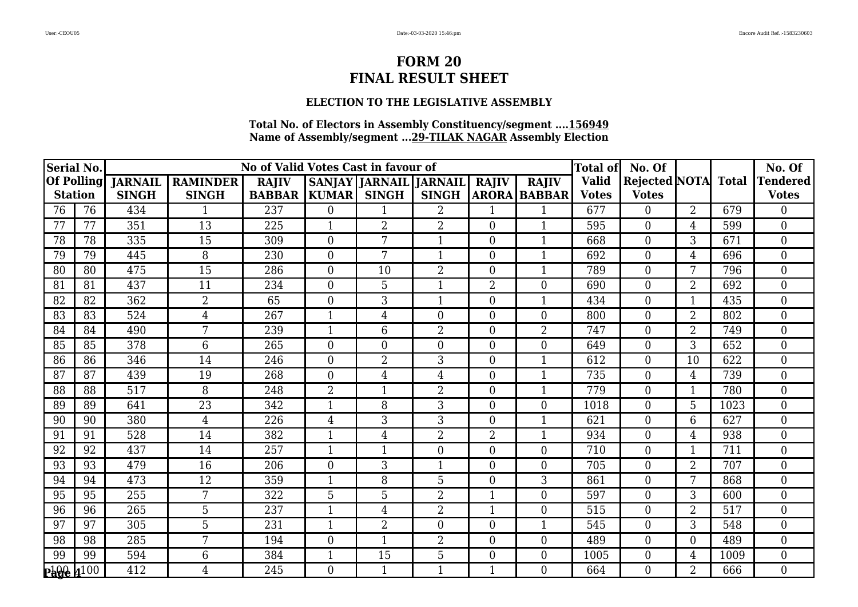## **ELECTION TO THE LEGISLATIVE ASSEMBLY**

| Serial No.             |    |                |                 | No of Valid Votes Cast in favour of |                |                        |                |                |                     | <b>Total of</b> | No. Of              |                |      | No. Of           |
|------------------------|----|----------------|-----------------|-------------------------------------|----------------|------------------------|----------------|----------------|---------------------|-----------------|---------------------|----------------|------|------------------|
| <b>Of Polling</b>      |    | <b>JARNAIL</b> | <b>RAMINDER</b> | <b>RAJIV</b>                        |                | SANJAY JARNAIL JARNAIL |                | <b>RAJIV</b>   | <b>RAJIV</b>        | <b>Valid</b>    | Rejected NOTA Total |                |      | <b>Tendered</b>  |
| <b>Station</b>         |    | <b>SINGH</b>   | <b>SINGH</b>    | <b>BABBAR   KUMAR  </b>             |                | <b>SINGH</b>           | <b>SINGH</b>   |                | <b>ARORA BABBAR</b> | <b>Votes</b>    | <b>Votes</b>        |                |      | <b>Votes</b>     |
| 76                     | 76 | 434            |                 | 237                                 | $\Omega$       |                        | $\overline{2}$ |                |                     | 677             | $\theta$            | $\overline{2}$ | 679  | $\theta$         |
| 77                     | 77 | 351            | 13              | 225                                 | $\mathbf{1}$   | $\overline{2}$         | $\overline{2}$ | $\overline{0}$ | $\mathbf{1}$        | 595             | $\overline{0}$      | 4              | 599  | $\overline{0}$   |
| 78                     | 78 | 335            | 15              | 309                                 | $\Omega$       | 7                      | 1              | $\theta$       | $\mathbf{1}$        | 668             | $\overline{0}$      | 3              | 671  | $\theta$         |
| 79                     | 79 | 445            | 8               | 230                                 | $\mathbf{0}$   | 7                      |                | $\overline{0}$ | $\mathbf{1}$        | 692             | $\boldsymbol{0}$    | 4              | 696  | $\overline{0}$   |
| 80                     | 80 | 475            | 15              | 286                                 | $\overline{0}$ | 10                     | $\overline{2}$ | $\overline{0}$ | $\mathbf{1}$        | 789             | $\boldsymbol{0}$    | 7              | 796  | $\mathbf{0}$     |
| 81                     | 81 | 437            | 11              | 234                                 | $\Omega$       | 5                      | $\mathbf{1}$   | $\overline{2}$ | $\theta$            | 690             | $\theta$            | 2              | 692  | $\theta$         |
| 82                     | 82 | 362            | $\overline{2}$  | 65                                  | $\Omega$       | 3                      |                | 0              |                     | 434             | $\overline{0}$      |                | 435  | $\overline{0}$   |
| 83                     | 83 | 524            | $\overline{4}$  | 267                                 | $\mathbf{1}$   | $\overline{4}$         | $\overline{0}$ | $\overline{0}$ | $\boldsymbol{0}$    | 800             | $\boldsymbol{0}$    | $\overline{2}$ | 802  | $\boldsymbol{0}$ |
| 84                     | 84 | 490            | 7               | 239                                 | $\mathbf{1}$   | 6                      | $\overline{2}$ | $\Omega$       | $\overline{2}$      | 747             | $\overline{0}$      | 2              | 749  | $\theta$         |
| 85                     | 85 | 378            | 6               | 265                                 | $\theta$       | $\theta$               | $\overline{0}$ | $\overline{0}$ | $\overline{0}$      | 649             | $\boldsymbol{0}$    | 3              | 652  | $\overline{0}$   |
| 86                     | 86 | 346            | 14              | 246                                 | $\overline{0}$ | $\overline{2}$         | 3              | $\overline{0}$ | $\mathbf{1}$        | 612             | $\boldsymbol{0}$    | 10             | 622  | $\overline{0}$   |
| 87                     | 87 | 439            | 19              | 268                                 | $\Omega$       | $\overline{4}$         | 4              | $\overline{0}$ | $\mathbf{1}$        | 735             | $\overline{0}$      | 4              | 739  | $\theta$         |
| 88                     | 88 | 517            | 8               | 248                                 | $\overline{2}$ |                        | $\overline{2}$ | $\Omega$       | 1                   | 779             | $\boldsymbol{0}$    | -1             | 780  | $\overline{0}$   |
| 89                     | 89 | 641            | $\overline{23}$ | 342                                 | -1             | 8                      | 3              | $\theta$       | $\overline{0}$      | 1018            | $\overline{0}$      | 5              | 1023 | $\overline{0}$   |
| 90                     | 90 | 380            | 4               | 226                                 | 4              | 3                      | 3              | $\overline{0}$ | 1                   | 621             | $\boldsymbol{0}$    | 6              | 627  | $\overline{0}$   |
| 91                     | 91 | 528            | 14              | 382                                 |                | $\overline{4}$         | $\overline{2}$ | $\overline{2}$ | $\mathbf{1}$        | 934             | $\boldsymbol{0}$    | 4              | 938  | $\overline{0}$   |
| 92                     | 92 | 437            | 14              | 257                                 |                |                        | $\overline{0}$ | $\overline{0}$ | $\overline{0}$      | 710             | $\overline{0}$      |                | 711  | $\overline{0}$   |
| 93                     | 93 | 479            | 16              | 206                                 | $\theta$       | 3                      | 1              | $\overline{0}$ | $\overline{0}$      | 705             | $\boldsymbol{0}$    | $\overline{2}$ | 707  | $\overline{0}$   |
| 94                     | 94 | 473            | 12              | 359                                 |                | 8                      | 5              | $\theta$       | 3                   | 861             | $\boldsymbol{0}$    | 7              | 868  | $\overline{0}$   |
| 95                     | 95 | 255            | 7               | 322                                 | 5              | 5                      | $\overline{2}$ | 1              | $\overline{0}$      | 597             | $\overline{0}$      | 3              | 600  | $\overline{0}$   |
| 96                     | 96 | 265            | 5               | 237                                 |                | $\overline{4}$         | $\overline{2}$ | $\mathbf{1}$   | $\boldsymbol{0}$    | 515             | $\boldsymbol{0}$    | $\overline{2}$ | 517  | $\overline{0}$   |
| 97                     | 97 | 305            | 5               | 231                                 |                | $\overline{2}$         | $\overline{0}$ | $\overline{0}$ | $\mathbf{1}$        | 545             | $\overline{0}$      | 3              | 548  | $\overline{0}$   |
| 98                     | 98 | 285            | 7               | 194                                 | $\theta$       | $\mathbf{1}$           | $\overline{2}$ | $\Omega$       | $\overline{0}$      | 489             | $\overline{0}$      | 0              | 489  | $\theta$         |
| 99                     | 99 | 594            | 6               | 384                                 |                | 15                     | 5              | 0              | $\overline{0}$      | 1005            | $\overline{0}$      | 4              | 1009 | $\overline{0}$   |
| $P_0^1Q_0^0$ $4^{100}$ |    | 412            | 4               | 245                                 | $\theta$       |                        |                | 1              | $\overline{0}$      | 664             | $\overline{0}$      | $\overline{2}$ | 666  | $\overline{0}$   |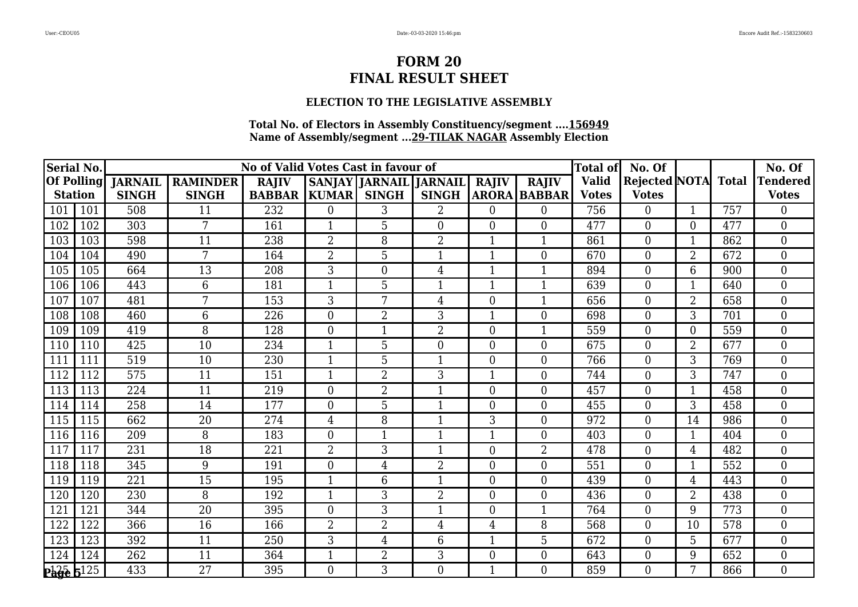## **ELECTION TO THE LEGISLATIVE ASSEMBLY**

| Serial No.            |     |                |                 | No of Valid Votes Cast in favour of |                |                               |                  |                |                     | <b>Total of</b> | No. Of               |                |              | No. Of          |
|-----------------------|-----|----------------|-----------------|-------------------------------------|----------------|-------------------------------|------------------|----------------|---------------------|-----------------|----------------------|----------------|--------------|-----------------|
| <b>Of Polling</b>     |     | <b>JARNAIL</b> | <b>RAMINDER</b> | <b>RAJIV</b>                        |                | <b>SANJAY JARNAIL JARNAIL</b> |                  | <b>RAJIV</b>   | <b>RAJIV</b>        | Valid           | <b>Rejected NOTA</b> |                | <b>Total</b> | <b>Tendered</b> |
| <b>Station</b>        |     | <b>SINGH</b>   | <b>SINGH</b>    | <b>BABBAR</b>                       | <b>KUMAR</b>   | <b>SINGH</b>                  | <b>SINGH</b>     |                | <b>ARORA BABBAR</b> | <b>Votes</b>    | <b>Votes</b>         |                |              | <b>Votes</b>    |
| 101                   | 101 | 508            | 11              | 232                                 | $\Omega$       | 3                             | $\overline{2}$   | $\Omega$       | $\overline{0}$      | 756             | $\overline{0}$       |                | 757          | 0               |
| 102                   | 102 | 303            | 7               | 161                                 | $\mathbf 1$    | 5                             | $\boldsymbol{0}$ | $\overline{0}$ | $\boldsymbol{0}$    | 477             | $\boldsymbol{0}$     | 0              | 477          | $\overline{0}$  |
| 103                   | 103 | 598            | 11              | 238                                 | $\overline{2}$ | 8                             | $\overline{2}$   | $\mathbf{1}$   | $\mathbf{1}$        | 861             | $\boldsymbol{0}$     | 1              | 862          | $\theta$        |
| 104                   | 104 | 490            | 7               | 164                                 | $\overline{2}$ | 5                             | 1                | $\mathbf{1}$   | $\overline{0}$      | 670             | $\boldsymbol{0}$     | 2              | 672          | $\overline{0}$  |
| 105                   | 105 | 664            | 13              | 208                                 | 3              | $\overline{0}$                | $\overline{4}$   | $\mathbf{1}$   | $\mathbf{1}$        | 894             | $\boldsymbol{0}$     | 6              | 900          | $\overline{0}$  |
| 106                   | 106 | 443            | 6               | 181                                 | $\mathbf{1}$   | 5                             | 1                | 1              | $\mathbf{1}$        | 639             | $\overline{0}$       | 1              | 640          | $\Omega$        |
| 107                   | 107 | 481            | 7               | 153                                 | 3              | 7                             | 4                | $\theta$       | $\mathbf{1}$        | 656             | $\boldsymbol{0}$     | $\overline{2}$ | 658          | $\theta$        |
| 108                   | 108 | 460            | 6               | 226                                 | $\overline{0}$ | $\overline{2}$                | 3                | $\mathbf{1}$   | $\boldsymbol{0}$    | 698             | $\boldsymbol{0}$     | 3              | 701          | $\overline{0}$  |
| 109                   | 109 | 419            | 8               | 128                                 | $\overline{0}$ | $\mathbf{1}$                  | $\overline{2}$   | $\overline{0}$ | $\mathbf{1}$        | 559             | $\overline{0}$       | $\overline{0}$ | 559          | $\overline{0}$  |
| 110                   | 110 | 425            | 10              | 234                                 | $\mathbf 1$    | 5                             | $\overline{0}$   | $\theta$       | $\overline{0}$      | 675             | $\overline{0}$       | $\overline{2}$ | 677          | $\theta$        |
| 111                   | 111 | 519            | 10              | 230                                 | 1              | 5                             | $\mathbf{1}$     | $\overline{0}$ | $\boldsymbol{0}$    | 766             | $\boldsymbol{0}$     | 3              | 769          | $\overline{0}$  |
| 112                   | 112 | 575            | 11              | 151                                 | 1              | $\overline{2}$                | 3                | $\mathbf{1}$   | $\boldsymbol{0}$    | 744             | $\boldsymbol{0}$     | 3              | 747          | $\theta$        |
| 113                   | 113 | 224            | 11              | 219                                 | $\theta$       | 2                             | $\mathbf{1}$     | $\overline{0}$ | $\boldsymbol{0}$    | 457             | $\boldsymbol{0}$     | 1              | 458          | $\overline{0}$  |
| 114                   | 114 | 258            | 14              | 177                                 | $\theta$       | $\overline{5}$                | $\mathbf{1}$     | $\theta$       | $\overline{0}$      | 455             | $\overline{0}$       | 3              | 458          | $\overline{0}$  |
| 115                   | 115 | 662            | 20              | 274                                 | 4              | 8                             | 1                | 3              | $\boldsymbol{0}$    | 972             | $\boldsymbol{0}$     | 14             | 986          | $\theta$        |
| 116                   | 116 | 209            | 8               | 183                                 | $\theta$       | 1                             | 1                | 1              | $\boldsymbol{0}$    | 403             | $\boldsymbol{0}$     | 1              | 404          | $\theta$        |
| 117                   | 117 | 231            | 18              | 221                                 | $\overline{2}$ | 3                             | $\mathbf{1}$     | $\theta$       | $\overline{2}$      | 478             | $\boldsymbol{0}$     | 4              | 482          | $\theta$        |
| 118                   | 118 | 345            | 9               | 191                                 | $\overline{0}$ | 4                             | $\overline{2}$   | $\overline{0}$ | $\overline{0}$      | 551             | $\overline{0}$       | 1              | 552          | $\overline{0}$  |
| 119                   | 119 | 221            | 15              | 195                                 | $\mathbf{1}$   | 6                             | $\mathbf{1}$     | $\overline{0}$ | $\overline{0}$      | 439             | $\boldsymbol{0}$     | 4              | 443          | $\overline{0}$  |
| 120                   | 120 | 230            | 8               | 192                                 | $\mathbf{1}$   | 3                             | 2                | $\overline{0}$ | $\overline{0}$      | 436             | $\overline{0}$       | $\overline{2}$ | 438          | $\theta$        |
| 121                   | 121 | 344            | 20              | 395                                 | $\theta$       | 3                             | 1                | $\overline{0}$ | $\mathbf{1}$        | 764             | $\boldsymbol{0}$     | 9              | 773          | $\theta$        |
| 122                   | 122 | 366            | 16              | 166                                 | $\overline{2}$ | $\overline{2}$                | $\overline{4}$   | $\overline{4}$ | 8                   | 568             | $\boldsymbol{0}$     | 10             | 578          | $\overline{0}$  |
| 123                   | 123 | 392            | 11              | 250                                 | 3              | $\overline{4}$                | 6                | $\mathbf{1}$   | 5                   | 672             | $\overline{0}$       | 5              | 677          | $\theta$        |
| 124                   | 124 | 262            | 11              | 364                                 |                | $\overline{2}$                | 3                | $\overline{0}$ | $\boldsymbol{0}$    | 643             | $\boldsymbol{0}$     | 9              | 652          | $\theta$        |
| $P_0^{125}$ $5^{125}$ |     | 433            | $\overline{27}$ | 395                                 | $\theta$       | 3                             | $\overline{0}$   |                | $\overline{0}$      | 859             | $\overline{0}$       | 7              | 866          | $\overline{0}$  |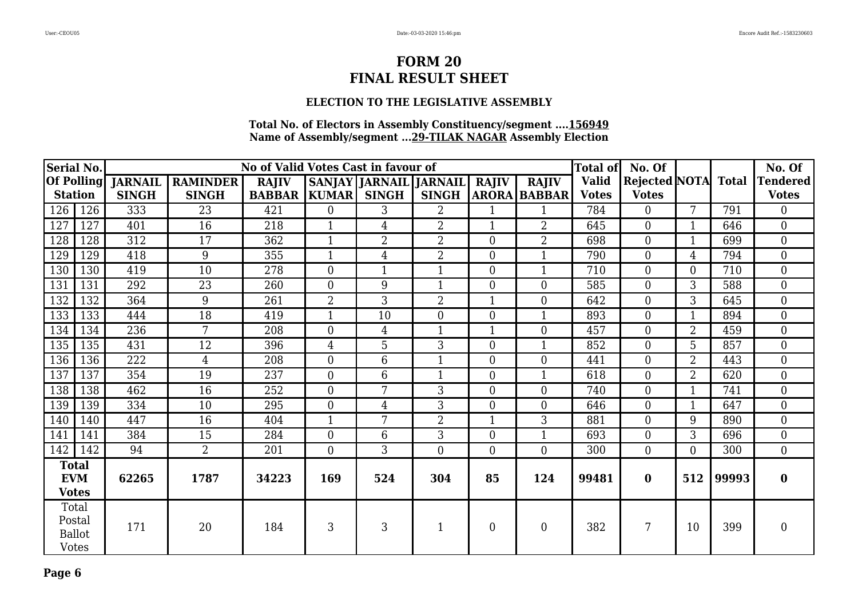## **ELECTION TO THE LEGISLATIVE ASSEMBLY**

| Serial No.                                 |               |              |                         | No of Valid Votes Cast in favour of |                |                               |                |                |                     | <b>Total of</b> | No. Of                     |                |       | No. Of           |
|--------------------------------------------|---------------|--------------|-------------------------|-------------------------------------|----------------|-------------------------------|----------------|----------------|---------------------|-----------------|----------------------------|----------------|-------|------------------|
| <b>Of Polling</b>                          |               |              | <b>JARNAIL RAMINDER</b> | <b>RAJIV</b>                        |                | <b>SANJAY JARNAIL JARNAIL</b> |                | <b>RAJIV</b>   | <b>RAJIV</b>        | <b>Valid</b>    | <b>Rejected NOTA</b> Total |                |       | <b>Tendered</b>  |
| <b>Station</b>                             |               | <b>SINGH</b> | <b>SINGH</b>            | <b>BABBAR</b>                       | <b>KUMAR</b>   | <b>SINGH</b>                  | <b>SINGH</b>   |                | <b>ARORA BABBAR</b> | <b>Votes</b>    | <b>Votes</b>               |                |       | <b>Votes</b>     |
| 126                                        | 126           | 333          | $\overline{23}$         | 421                                 | $\overline{0}$ | 3                             | $\overline{2}$ | 1              | $\mathbf{1}$        | 784             | $\overline{0}$             | 7              | 791   | $\overline{0}$   |
| 127                                        | 127           | 401          | 16                      | 218                                 | $\mathbf{1}$   | $\overline{4}$                | $\overline{2}$ | $\mathbf{1}$   | $\overline{2}$      | 645             | $\theta$                   | $\mathbf{1}$   | 646   | $\overline{0}$   |
| 128                                        | 128           | 312          | 17                      | 362                                 | 1              | $\overline{2}$                | $\overline{2}$ | $\theta$       | $\overline{2}$      | 698             | $\boldsymbol{0}$           |                | 699   | $\overline{0}$   |
| 129                                        | 129           | 418          | 9                       | 355                                 |                | $\overline{4}$                | $\overline{2}$ | $\overline{0}$ | $\mathbf{1}$        | 790             | $\boldsymbol{0}$           | 4              | 794   | $\overline{0}$   |
| 130                                        | 130           | 419          | 10                      | 278                                 | $\Omega$       |                               | $\mathbf{1}$   | $\overline{0}$ | $\mathbf{1}$        | 710             | $\boldsymbol{0}$           | $\Omega$       | 710   | $\overline{0}$   |
| 131                                        | 131           | 292          | 23                      | 260                                 | $\overline{0}$ | 9                             | $\mathbf{1}$   | $\overline{0}$ | $\overline{0}$      | 585             | $\boldsymbol{0}$           | 3              | 588   | $\boldsymbol{0}$ |
| 132                                        | 132           | 364          | 9                       | 261                                 | $\overline{2}$ | 3                             | $\overline{2}$ | $\mathbf{1}$   | $\overline{0}$      | 642             | $\overline{0}$             | 3              | 645   | $\overline{0}$   |
| 133                                        | 133           | 444          | 18                      | 419                                 | $\mathbf{1}$   | 10                            | $\overline{0}$ | $\overline{0}$ | $\mathbf{1}$        | 893             | $\overline{0}$             | $\mathbf{1}$   | 894   | $\overline{0}$   |
| 134                                        | 134           | 236          | 7                       | 208                                 | $\overline{0}$ | 4                             | 1              |                | $\boldsymbol{0}$    | 457             | $\boldsymbol{0}$           | $\overline{2}$ | 459   | $\overline{0}$   |
| 135                                        | 135           | 431          | 12                      | 396                                 | $\overline{4}$ | 5                             | $\overline{3}$ | $\overline{0}$ | $\mathbf{1}$        | 852             | $\overline{0}$             | 5              | 857   | $\overline{0}$   |
| 136                                        | 136           | 222          | 4                       | 208                                 | $\overline{0}$ | 6                             | $\mathbf{1}$   | $\Omega$       | $\overline{0}$      | 441             | $\overline{0}$             | $\overline{2}$ | 443   | $\overline{0}$   |
| 137                                        | 137           | 354          | 19                      | 237                                 | $\theta$       | 6                             | 1              | $\theta$       | $\mathbf{1}$        | 618             | $\overline{0}$             | $\overline{2}$ | 620   | $\overline{0}$   |
| 138                                        | 138           | 462          | 16                      | 252                                 | $\overline{0}$ | 7                             | 3              | $\Omega$       | $\overline{0}$      | 740             | $\overline{0}$             | $\mathbf{1}$   | 741   | $\overline{0}$   |
| 139                                        | 139           | 334          | 10                      | 295                                 | $\overline{0}$ | $\overline{4}$                | 3              | $\overline{0}$ | $\overline{0}$      | 646             | $\boldsymbol{0}$           | -1             | 647   | $\overline{0}$   |
| 140                                        | 140           | 447          | 16                      | 404                                 |                | 7                             | $\overline{2}$ | 1              | 3                   | 881             | $\overline{0}$             | 9              | 890   | $\overline{0}$   |
| 141                                        | 141           | 384          | 15                      | 284                                 | $\theta$       | 6                             | 3              | $\overline{0}$ | $\mathbf{1}$        | 693             | $\overline{0}$             | 3              | 696   | $\overline{0}$   |
| 142                                        | 142           | 94           | $\overline{2}$          | 201                                 | $\overline{0}$ | 3                             | $\overline{0}$ | $\overline{0}$ | $\overline{0}$      | 300             | $\overline{0}$             | 0              | 300   | $\overline{0}$   |
| <b>Total</b><br><b>EVM</b><br><b>Votes</b> |               | 62265        | 1787                    | 34223                               | 169            | 524                           | 304            | 85             | 124                 | 99481           | $\bf{0}$                   | 512            | 99993 | $\bf{0}$         |
| Total<br>Postal<br><b>Votes</b>            | <b>Ballot</b> | 171          | 20                      | 184                                 | 3              | 3                             | $\mathbf 1$    | $\overline{0}$ | $\boldsymbol{0}$    | 382             | 7                          | 10             | 399   | $\boldsymbol{0}$ |